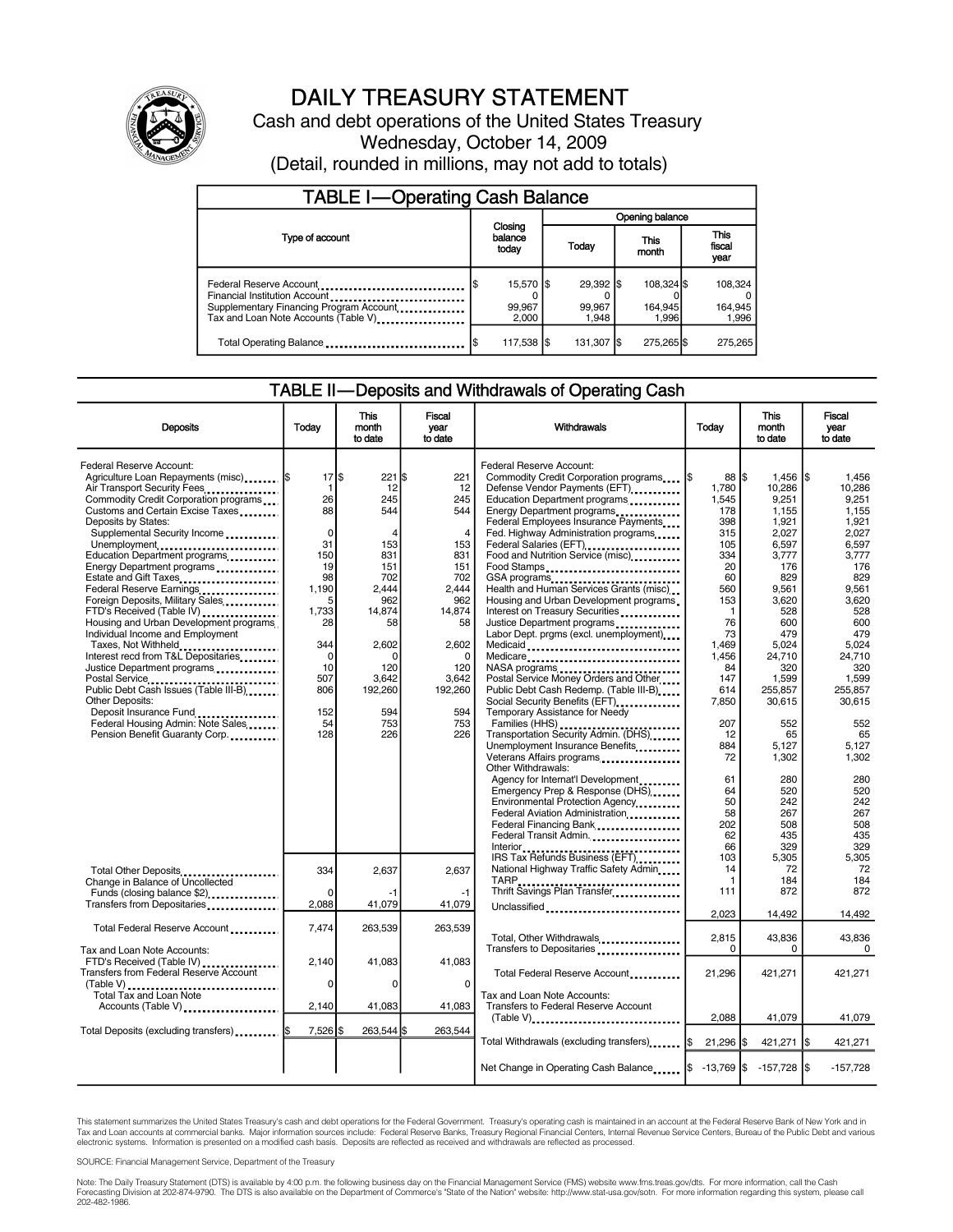

# DAILY TREASURY STATEMENT

Cash and debt operations of the United States Treasury Wednesday, October 14, 2009 (Detail, rounded in millions, may not add to totals)

| <b>TABLE I-Operating Cash Balance</b>                                                                                                                               |     |                              |       |                              |  |                                |  |                               |
|---------------------------------------------------------------------------------------------------------------------------------------------------------------------|-----|------------------------------|-------|------------------------------|--|--------------------------------|--|-------------------------------|
|                                                                                                                                                                     |     |                              |       | Opening balance              |  |                                |  |                               |
| Type of account                                                                                                                                                     |     | Closing<br>balance<br>today  | Today |                              |  | This<br>month                  |  | <b>This</b><br>fiscal<br>year |
| Federal Reserve Account<br>Financial Institution Account<br>Supplementary Financing Program Account<br>Transmitted Discount<br>Tax and Loan Note Accounts (Table V) | I\$ | 15,570 \$<br>99,967<br>2.000 |       | 29,392 \$<br>99,967<br>1.948 |  | 108,324 \$<br>164,945<br>1.996 |  | 108,324<br>164,945<br>1,996   |
| Total Operating Balance                                                                                                                                             |     | 117,538  \$                  |       | 131,307 \$                   |  | 275,265 \$                     |  | 275,265                       |

## TABLE II—Deposits and Withdrawals of Operating Cash

| <b>Deposits</b>                                                                                                                                                                                                                                                                                                                                                                                                                                                                                                                                                                                                                                                                                                                                                                                             | Todav                                                                                                                                                                | This<br>month<br>to date                                                                                                                               | <b>Fiscal</b><br>vear<br>to date                                                                                                                                           | <b>Withdrawals</b>                                                                                                                                                                                                                                                                                                                                                                                                                                                                                                                                                                                                                                                                                                                                                                                                                                                                                                                                                                                                                                                                | Today                                                                                                                                                                                                                                              | This<br>month<br>to date                                                                                                                                                                                                                                                | Fiscal<br>vear<br>to date                                                                                                                                                                                                                                          |
|-------------------------------------------------------------------------------------------------------------------------------------------------------------------------------------------------------------------------------------------------------------------------------------------------------------------------------------------------------------------------------------------------------------------------------------------------------------------------------------------------------------------------------------------------------------------------------------------------------------------------------------------------------------------------------------------------------------------------------------------------------------------------------------------------------------|----------------------------------------------------------------------------------------------------------------------------------------------------------------------|--------------------------------------------------------------------------------------------------------------------------------------------------------|----------------------------------------------------------------------------------------------------------------------------------------------------------------------------|-----------------------------------------------------------------------------------------------------------------------------------------------------------------------------------------------------------------------------------------------------------------------------------------------------------------------------------------------------------------------------------------------------------------------------------------------------------------------------------------------------------------------------------------------------------------------------------------------------------------------------------------------------------------------------------------------------------------------------------------------------------------------------------------------------------------------------------------------------------------------------------------------------------------------------------------------------------------------------------------------------------------------------------------------------------------------------------|----------------------------------------------------------------------------------------------------------------------------------------------------------------------------------------------------------------------------------------------------|-------------------------------------------------------------------------------------------------------------------------------------------------------------------------------------------------------------------------------------------------------------------------|--------------------------------------------------------------------------------------------------------------------------------------------------------------------------------------------------------------------------------------------------------------------|
| Federal Reserve Account:<br>Agriculture Loan Repayments (misc)  \$<br>Air Transport Security Fees<br>Commodity Credit Corporation programs<br>Customs and Certain Excise Taxes<br>Deposits by States:<br>Supplemental Security Income<br>Unemployment<br>Education Department programs<br>Energy Department programs<br>Estate and Gift Taxes<br>Federal Reserve Earnings<br>Foreign Deposits, Military Sales<br>FTD's Received (Table IV)<br>Housing and Urban Development programs.<br>Individual Income and Employment<br>Taxes, Not Withheld<br>Interest recd from T&L Depositaries<br>Justice Department programs<br>Postal Service<br>Public Debt Cash Issues (Table III-B)<br><b>Other Deposits:</b><br>Deposit Insurance Fund<br>Federal Housing Admin: Note Sales<br>Pension Benefit Guaranty Corp | $17$ $\frac{5}{5}$<br>$\mathbf{1}$<br>26<br>88<br>0<br>31<br>150<br>19<br>98<br>1,190<br>5<br>1.733<br>28<br>344<br>$\Omega$<br>10<br>507<br>806<br>152<br>54<br>128 | $221$ \$<br>12<br>245<br>544<br>153<br>831<br>151<br>702<br>2.444<br>962<br>14,874<br>58<br>2,602<br>O<br>120<br>3.642<br>192,260<br>594<br>753<br>226 | 221<br>12<br>245<br>544<br>$\overline{4}$<br>153<br>831<br>151<br>702<br>2.444<br>962<br>14,874<br>58<br>2,602<br>$\Omega$<br>120<br>3.642<br>192,260<br>594<br>753<br>226 | Federal Reserve Account:<br>Commodity Credit Corporation programs<br>Defense Vendor Payments (EFT)<br>Education Department programs<br>Energy Department programs<br>Federal Employees Insurance Payments<br>Fed. Highway Administration programs<br>Federal Salaries (EFT)<br>Food and Nutrition Service (misc)<br>Food Stamps<br>GSA programs<br>Health and Human Services Grants (misc)<br>Housing and Urban Development programs<br>Interest on Treasury Securities<br>Justice Department programs<br>Labor Dept. prgms (excl. unemployment)<br>Medicaid<br>Medicare<br>Postal Service Money Orders and Other<br>Public Debt Cash Redemp. (Table III-B)<br>Social Security Benefits (EFT)<br>Temporary Assistance for Needy<br>Families (HHS)<br>Transportation Security Admin. (DHS)<br>Unemployment Insurance Benefits<br>Veterans Affairs programs<br>Other Withdrawals:<br>Agency for Internat'l Development<br>Emergency Prep & Response (DHS)<br>Environmental Protection Agency<br>Federal Aviation Administration<br>Federal Financing Bank<br>Federal Transit Admin. | 88 IS<br><b>1\$</b><br>1,780<br>1,545<br>178<br>398<br>315<br>105<br>334<br>20<br>60<br>560<br>153<br>$\mathbf{1}$<br>76<br>73<br>1,469<br>1,456<br>84<br>147<br>614<br>7.850<br>207<br>12<br>884<br>72<br>61<br>64<br>50<br>58<br>202<br>62<br>66 | $1,456$ \$<br>10,286<br>9,251<br>1,155<br>1,921<br>2,027<br>6,597<br>3,777<br>176<br>829<br>9.561<br>3,620<br>528<br>600<br>479<br>5,024<br>24,710<br>320<br>1,599<br>255.857<br>30.615<br>552<br>65<br>5,127<br>1,302<br>280<br>520<br>242<br>267<br>508<br>435<br>329 | 1,456<br>10,286<br>9,251<br>1,155<br>1,921<br>2,027<br>6.597<br>3,777<br>176<br>829<br>9.561<br>3,620<br>528<br>600<br>479<br>5,024<br>24.710<br>320<br>1.599<br>255.857<br>30.615<br>552<br>65<br>5,127<br>1,302<br>280<br>520<br>242<br>267<br>508<br>435<br>329 |
| Total Other Deposits<br>Change in Balance of Uncollected<br>Funds (closing balance \$2)<br>Transfers from Depositaries                                                                                                                                                                                                                                                                                                                                                                                                                                                                                                                                                                                                                                                                                      | 334<br>$\Omega$<br>2,088                                                                                                                                             | 2,637<br>-1<br>41,079                                                                                                                                  | 2,637<br>-1<br>41,079                                                                                                                                                      | IRS Tax Refunds Business (EFT)<br>National Highway Traffic Safety Admin<br>Unclassified                                                                                                                                                                                                                                                                                                                                                                                                                                                                                                                                                                                                                                                                                                                                                                                                                                                                                                                                                                                           | 103<br>14<br>1<br>111<br>2.023                                                                                                                                                                                                                     | 5,305<br>72<br>184<br>872<br>14,492                                                                                                                                                                                                                                     | 5,305<br>72<br>184<br>872<br>14,492                                                                                                                                                                                                                                |
| Total Federal Reserve Account                                                                                                                                                                                                                                                                                                                                                                                                                                                                                                                                                                                                                                                                                                                                                                               | 7,474                                                                                                                                                                | 263,539                                                                                                                                                | 263,539                                                                                                                                                                    | Total, Other Withdrawals                                                                                                                                                                                                                                                                                                                                                                                                                                                                                                                                                                                                                                                                                                                                                                                                                                                                                                                                                                                                                                                          | 2,815                                                                                                                                                                                                                                              | 43.836                                                                                                                                                                                                                                                                  | 43.836                                                                                                                                                                                                                                                             |
| Tax and Loan Note Accounts:<br>FTD's Received (Table IV)<br><b>Transfers from Federal Reserve Account</b>                                                                                                                                                                                                                                                                                                                                                                                                                                                                                                                                                                                                                                                                                                   | 2.140<br>$\Omega$                                                                                                                                                    | 41,083<br>0                                                                                                                                            | 41,083<br>$\Omega$                                                                                                                                                         | Transfers to Depositaries<br>Total Federal Reserve Account                                                                                                                                                                                                                                                                                                                                                                                                                                                                                                                                                                                                                                                                                                                                                                                                                                                                                                                                                                                                                        | 0<br>21,296                                                                                                                                                                                                                                        | 0<br>421,271                                                                                                                                                                                                                                                            | 0<br>421,271                                                                                                                                                                                                                                                       |
| Total Tax and Loan Note<br>Accounts (Table V)                                                                                                                                                                                                                                                                                                                                                                                                                                                                                                                                                                                                                                                                                                                                                               | 2,140                                                                                                                                                                | 41,083                                                                                                                                                 | 41,083                                                                                                                                                                     | Tax and Loan Note Accounts:<br>Transfers to Federal Reserve Account<br>$(Table V)$                                                                                                                                                                                                                                                                                                                                                                                                                                                                                                                                                                                                                                                                                                                                                                                                                                                                                                                                                                                                | 2,088                                                                                                                                                                                                                                              | 41,079                                                                                                                                                                                                                                                                  | 41,079                                                                                                                                                                                                                                                             |
| Total Deposits (excluding transfers)  \$                                                                                                                                                                                                                                                                                                                                                                                                                                                                                                                                                                                                                                                                                                                                                                    | 7.526 \$                                                                                                                                                             | 263.544 \$                                                                                                                                             | 263.544                                                                                                                                                                    | Total Withdrawals (excluding transfers) I\$                                                                                                                                                                                                                                                                                                                                                                                                                                                                                                                                                                                                                                                                                                                                                                                                                                                                                                                                                                                                                                       | $21,296$ \$                                                                                                                                                                                                                                        | 421,271 \$                                                                                                                                                                                                                                                              | 421,271                                                                                                                                                                                                                                                            |
|                                                                                                                                                                                                                                                                                                                                                                                                                                                                                                                                                                                                                                                                                                                                                                                                             |                                                                                                                                                                      |                                                                                                                                                        |                                                                                                                                                                            | Net Change in Operating Cash Balance \$ -13,769 \$                                                                                                                                                                                                                                                                                                                                                                                                                                                                                                                                                                                                                                                                                                                                                                                                                                                                                                                                                                                                                                |                                                                                                                                                                                                                                                    | $-157,728$ \$                                                                                                                                                                                                                                                           | $-157,728$                                                                                                                                                                                                                                                         |

This statement summarizes the United States Treasury's cash and debt operations for the Federal Government. Treasury's operating cash is maintained in an account at the Federal Reserve Bank of New York and in Tax and Loan accounts at commercial banks. Major information sources include: Federal Reserve Banks, Treasury Regional Financial Centers, Internal Revenue Service Centers, Bureau of the Public Debt and various<br>electronic s

SOURCE: Financial Management Service, Department of the Treasury

Note: The Daily Treasury Statement (DTS) is available by 4:00 p.m. the following business day on the Financial Management Service (FMS) website www.fms.treas.gov/dts. For more information, call the Cash<br>Forecasting Divisio